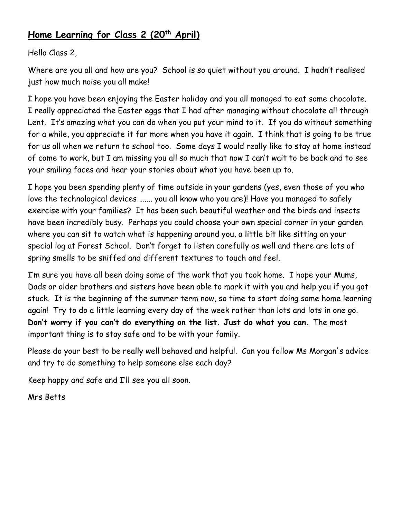# **Home Learning for Class 2 (20th April)**

## Hello Class 2,

Where are you all and how are you? School is so quiet without you around. I hadn't realised just how much noise you all make!

I hope you have been enjoying the Easter holiday and you all managed to eat some chocolate. I really appreciated the Easter eggs that I had after managing without chocolate all through Lent. It's amazing what you can do when you put your mind to it. If you do without something for a while, you appreciate it far more when you have it again. I think that is going to be true for us all when we return to school too. Some days I would really like to stay at home instead of come to work, but I am missing you all so much that now I can't wait to be back and to see your smiling faces and hear your stories about what you have been up to.

I hope you been spending plenty of time outside in your gardens (yes, even those of you who love the technological devices ….... you all know who you are)! Have you managed to safely exercise with your families? It has been such beautiful weather and the birds and insects have been incredibly busy. Perhaps you could choose your own special corner in your garden where you can sit to watch what is happening around you, a little bit like sitting on your special log at Forest School. Don't forget to listen carefully as well and there are lots of spring smells to be sniffed and different textures to touch and feel.

I'm sure you have all been doing some of the work that you took home. I hope your Mums, Dads or older brothers and sisters have been able to mark it with you and help you if you got stuck. It is the beginning of the summer term now, so time to start doing some home learning again! Try to do a little learning every day of the week rather than lots and lots in one go. **Don't worry if you can't do everything on the list. Just do what you can.** The most important thing is to stay safe and to be with your family.

Please do your best to be really well behaved and helpful. Can you follow Ms Morgan's advice and try to do something to help someone else each day?

Keep happy and safe and I'll see you all soon.

Mrs Betts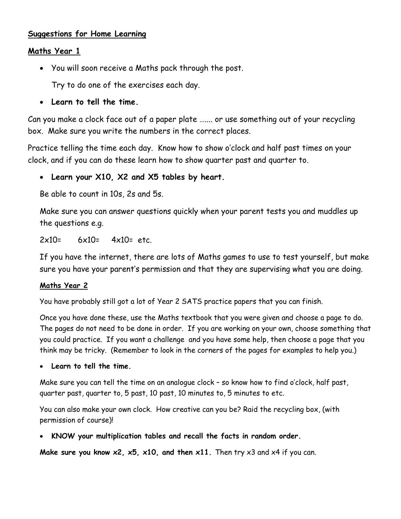### **Suggestions for Home Learning**

#### **Maths Year 1**

You will soon receive a Maths pack through the post.

Try to do one of the exercises each day.

**Learn to tell the time.**

Can you make a clock face out of a paper plate ….... or use something out of your recycling box. Make sure you write the numbers in the correct places.

Practice telling the time each day. Know how to show o'clock and half past times on your clock, and if you can do these learn how to show quarter past and quarter to.

**Learn your X10, X2 and X5 tables by heart.**

Be able to count in 10s, 2s and 5s.

Make sure you can answer questions quickly when your parent tests you and muddles up the questions e.g.

 $2x10= 6x10= 4x10= 0$ 

If you have the internet, there are lots of Maths games to use to test yourself, but make sure you have your parent's permission and that they are supervising what you are doing.

#### **Maths Year 2**

You have probably still got a lot of Year 2 SATS practice papers that you can finish.

Once you have done these, use the Maths textbook that you were given and choose a page to do. The pages do not need to be done in order. If you are working on your own, choose something that you could practice. If you want a challenge and you have some help, then choose a page that you think may be tricky. (Remember to look in the corners of the pages for examples to help you.)

**Learn to tell the time.**

Make sure you can tell the time on an analogue clock – so know how to find o'clock, half past, quarter past, quarter to, 5 past, 10 past, 10 minutes to, 5 minutes to etc.

You can also make your own clock. How creative can you be? Raid the recycling box, (with permission of course)!

**KNOW your multiplication tables and recall the facts in random order.**

**Make sure you know x2, x5, x10, and then x11.** Then try x3 and x4 if you can.